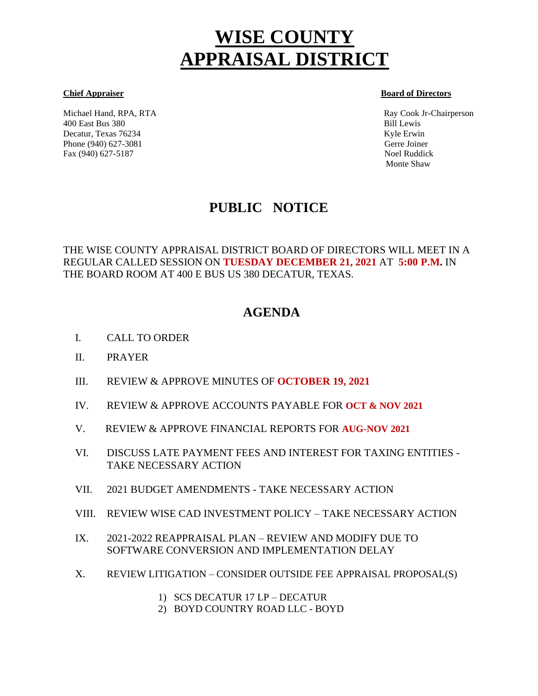# **WISE COUNTY APPRAISAL DISTRICT**

Michael Hand, RPA, RTA Ray Cook Jr-Chairperson 400 East Bus 380 Bill Lewis Decatur, Texas 76234 Kyle Erwin Kyle Erwin Kyle Erwin Kyle Erwin Kyle Erwin Kyle Erwin Kyle Erwin Kyle Erwin Kyle Erwin Kyle Erwin Kyle Erwin Kyle Erwin Kyle Erwin Kyle Erwin Kyle Erwin Kyle Erwin Kyle Erwin Kyle Erwin Kyl Phone (940) 627-3081 Gerre Joiner Fax (940) 627-5187 Noel Ruddick

#### **Chief Appraiser Board of Directors**

Monte Shaw

# **PUBLIC NOTICE**

THE WISE COUNTY APPRAISAL DISTRICT BOARD OF DIRECTORS WILL MEET IN A REGULAR CALLED SESSION ON **TUESDAY DECEMBER 21, 2021** AT **5:00 P.M.** IN THE BOARD ROOM AT 400 E BUS US 380 DECATUR, TEXAS.

# **AGENDA**

- I. CALL TO ORDER Í
- II. PRAYER
- III. REVIEW & APPROVE MINUTES OF **OCTOBER 19, 2021**
- IV. REVIEW & APPROVE ACCOUNTS PAYABLE FOR **OCT & NOV 2021**
- V. REVIEW & APPROVE FINANCIAL REPORTS FOR **AUG-NOV 2021**
- VI. DISCUSS LATE PAYMENT FEES AND INTEREST FOR TAXING ENTITIES TAKE NECESSARY ACTION
- VII. 2021 BUDGET AMENDMENTS TAKE NECESSARY ACTION
- VIII. REVIEW WISE CAD INVESTMENT POLICY TAKE NECESSARY ACTION
- IX. 2021-2022 REAPPRAISAL PLAN REVIEW AND MODIFY DUE TO SOFTWARE CONVERSION AND IMPLEMENTATION DELAY
- X. REVIEW LITIGATION CONSIDER OUTSIDE FEE APPRAISAL PROPOSAL(S)
	- 1) SCS DECATUR 17 LP DECATUR
	- 2) BOYD COUNTRY ROAD LLC BOYD